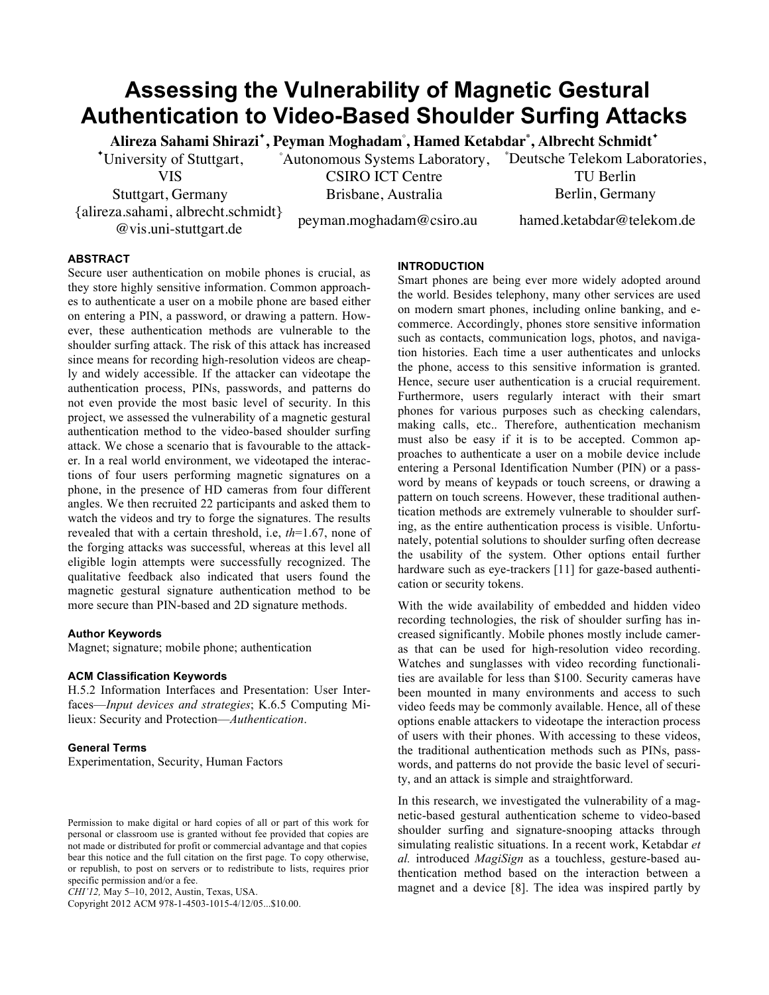# **Assessing the Vulnerability of Magnetic Gestural Authentication to Video-Based Shoulder Surfing Attacks**

**Alireza Sahami Shirazi✦ , Peyman Moghadam◦ , Hamed Ketabdar\* , Albrecht Schmidt✦**

CSIRO ICT Centre Brisbane, Australia

✦ University of Stuttgart, ◦ Autonomous Systems Laboratory, \* Deutsche Telekom Laboratories,

VIS

Stuttgart, Germany {alireza.sahami, albrecht.schmidt} a.sanann, albeitent.schinder peyman.moghadam@csiro.au hamed.ketabdar@telekom.de<br>@vis.uni-stuttgart.de

TU Berlin Berlin, Germany

## **ABSTRACT**

Secure user authentication on mobile phones is crucial, as they store highly sensitive information. Common approaches to authenticate a user on a mobile phone are based either on entering a PIN, a password, or drawing a pattern. However, these authentication methods are vulnerable to the shoulder surfing attack. The risk of this attack has increased since means for recording high-resolution videos are cheaply and widely accessible. If the attacker can videotape the authentication process, PINs, passwords, and patterns do not even provide the most basic level of security. In this project, we assessed the vulnerability of a magnetic gestural authentication method to the video-based shoulder surfing attack. We chose a scenario that is favourable to the attacker. In a real world environment, we videotaped the interactions of four users performing magnetic signatures on a phone, in the presence of HD cameras from four different angles. We then recruited 22 participants and asked them to watch the videos and try to forge the signatures. The results revealed that with a certain threshold, i.e, *th*=1.67, none of the forging attacks was successful, whereas at this level all eligible login attempts were successfully recognized. The qualitative feedback also indicated that users found the magnetic gestural signature authentication method to be more secure than PIN-based and 2D signature methods.

#### **Author Keywords**

Magnet; signature; mobile phone; authentication

## **ACM Classification Keywords**

H.5.2 Information Interfaces and Presentation: User Interfaces—*Input devices and strategies*; K.6.5 Computing Milieux: Security and Protection—*Authentication*.

## **General Terms**

Experimentation, Security, Human Factors

*CHI'12,* May 5–10, 2012, Austin, Texas, USA.

Copyright 2012 ACM 978-1-4503-1015-4/12/05...\$10.00.

## **INTRODUCTION**

Smart phones are being ever more widely adopted around the world. Besides telephony, many other services are used on modern smart phones, including online banking, and ecommerce. Accordingly, phones store sensitive information such as contacts, communication logs, photos, and navigation histories. Each time a user authenticates and unlocks the phone, access to this sensitive information is granted. Hence, secure user authentication is a crucial requirement. Furthermore, users regularly interact with their smart phones for various purposes such as checking calendars, making calls, etc.. Therefore, authentication mechanism must also be easy if it is to be accepted. Common approaches to authenticate a user on a mobile device include entering a Personal Identification Number (PIN) or a password by means of keypads or touch screens, or drawing a pattern on touch screens. However, these traditional authentication methods are extremely vulnerable to shoulder surfing, as the entire authentication process is visible. Unfortunately, potential solutions to shoulder surfing often decrease the usability of the system. Other options entail further hardware such as eye-trackers [11] for gaze-based authentication or security tokens.

With the wide availability of embedded and hidden video recording technologies, the risk of shoulder surfing has increased significantly. Mobile phones mostly include cameras that can be used for high-resolution video recording. Watches and sunglasses with video recording functionalities are available for less than \$100. Security cameras have been mounted in many environments and access to such video feeds may be commonly available. Hence, all of these options enable attackers to videotape the interaction process of users with their phones. With accessing to these videos, the traditional authentication methods such as PINs, passwords, and patterns do not provide the basic level of security, and an attack is simple and straightforward.

In this research, we investigated the vulnerability of a magnetic-based gestural authentication scheme to video-based shoulder surfing and signature-snooping attacks through simulating realistic situations. In a recent work, Ketabdar *et al.* introduced *MagiSign* as a touchless, gesture-based authentication method based on the interaction between a magnet and a device [8]. The idea was inspired partly by

Permission to make digital or hard copies of all or part of this work for personal or classroom use is granted without fee provided that copies are not made or distributed for profit or commercial advantage and that copies bear this notice and the full citation on the first page. To copy otherwise, or republish, to post on servers or to redistribute to lists, requires prior specific permission and/or a fee.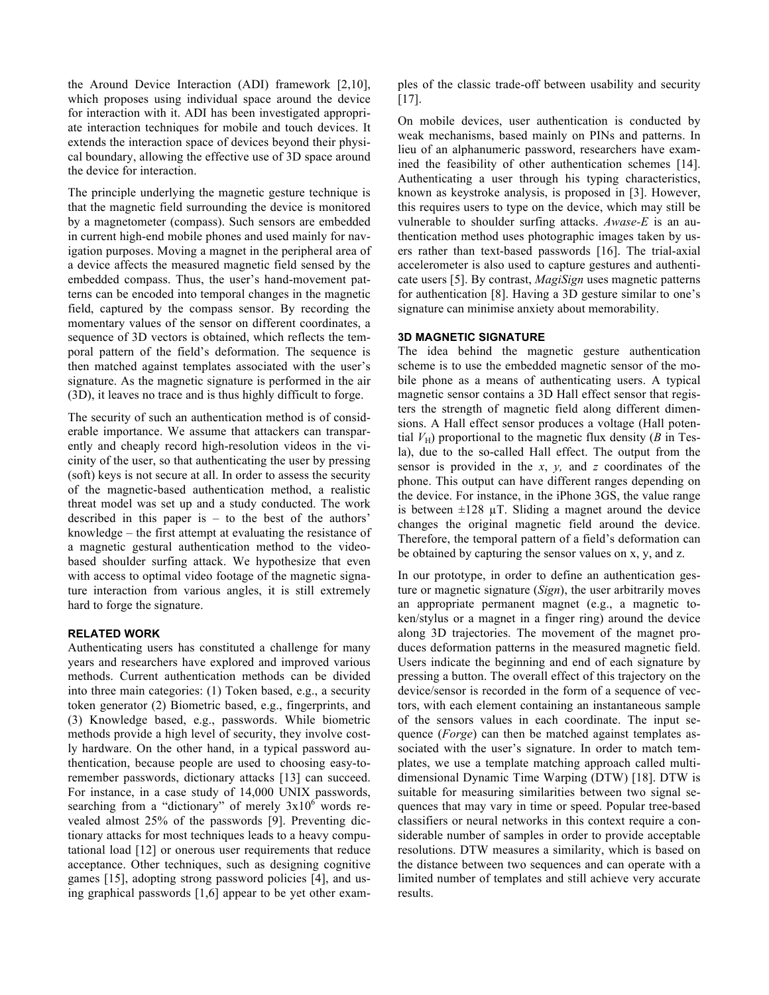the Around Device Interaction (ADI) framework [2,10], which proposes using individual space around the device for interaction with it. ADI has been investigated appropriate interaction techniques for mobile and touch devices. It extends the interaction space of devices beyond their physical boundary, allowing the effective use of 3D space around the device for interaction.

The principle underlying the magnetic gesture technique is that the magnetic field surrounding the device is monitored by a magnetometer (compass). Such sensors are embedded in current high-end mobile phones and used mainly for navigation purposes. Moving a magnet in the peripheral area of a device affects the measured magnetic field sensed by the embedded compass. Thus, the user's hand-movement patterns can be encoded into temporal changes in the magnetic field, captured by the compass sensor. By recording the momentary values of the sensor on different coordinates, a sequence of 3D vectors is obtained, which reflects the temporal pattern of the field's deformation. The sequence is then matched against templates associated with the user's signature. As the magnetic signature is performed in the air (3D), it leaves no trace and is thus highly difficult to forge.

The security of such an authentication method is of considerable importance. We assume that attackers can transparently and cheaply record high-resolution videos in the vicinity of the user, so that authenticating the user by pressing (soft) keys is not secure at all. In order to assess the security of the magnetic-based authentication method, a realistic threat model was set up and a study conducted. The work described in this paper is – to the best of the authors' knowledge – the first attempt at evaluating the resistance of a magnetic gestural authentication method to the videobased shoulder surfing attack. We hypothesize that even with access to optimal video footage of the magnetic signature interaction from various angles, it is still extremely hard to forge the signature.

## **RELATED WORK**

Authenticating users has constituted a challenge for many years and researchers have explored and improved various methods. Current authentication methods can be divided into three main categories: (1) Token based, e.g., a security token generator (2) Biometric based, e.g., fingerprints, and (3) Knowledge based, e.g., passwords. While biometric methods provide a high level of security, they involve costly hardware. On the other hand, in a typical password authentication, because people are used to choosing easy-toremember passwords, dictionary attacks [13] can succeed. For instance, in a case study of 14,000 UNIX passwords, searching from a "dictionary" of merely  $3x10^6$  words revealed almost 25% of the passwords [9]. Preventing dictionary attacks for most techniques leads to a heavy computational load [12] or onerous user requirements that reduce acceptance. Other techniques, such as designing cognitive games [15], adopting strong password policies [4], and using graphical passwords [1,6] appear to be yet other examples of the classic trade-off between usability and security [17].

On mobile devices, user authentication is conducted by weak mechanisms, based mainly on PINs and patterns. In lieu of an alphanumeric password, researchers have examined the feasibility of other authentication schemes [14]. Authenticating a user through his typing characteristics, known as keystroke analysis, is proposed in [3]. However, this requires users to type on the device, which may still be vulnerable to shoulder surfing attacks. *Awase-E* is an authentication method uses photographic images taken by users rather than text-based passwords [16]. The trial-axial accelerometer is also used to capture gestures and authenticate users [5]. By contrast, *MagiSign* uses magnetic patterns for authentication [8]. Having a 3D gesture similar to one's signature can minimise anxiety about memorability.

## **3D MAGNETIC SIGNATURE**

The idea behind the magnetic gesture authentication scheme is to use the embedded magnetic sensor of the mobile phone as a means of authenticating users. A typical magnetic sensor contains a 3D Hall effect sensor that registers the strength of magnetic field along different dimensions. A Hall effect sensor produces a voltage (Hall potential  $V_H$ ) proportional to the magnetic flux density ( $B$  in Tesla), due to the so-called Hall effect. The output from the sensor is provided in the *x*, *y,* and *z* coordinates of the phone. This output can have different ranges depending on the device. For instance, in the iPhone 3GS, the value range is between  $\pm 128$  µT. Sliding a magnet around the device changes the original magnetic field around the device. Therefore, the temporal pattern of a field's deformation can be obtained by capturing the sensor values on x, y, and z.

In our prototype, in order to define an authentication gesture or magnetic signature (*Sign*), the user arbitrarily moves an appropriate permanent magnet (e.g., a magnetic token/stylus or a magnet in a finger ring) around the device along 3D trajectories. The movement of the magnet produces deformation patterns in the measured magnetic field. Users indicate the beginning and end of each signature by pressing a button. The overall effect of this trajectory on the device/sensor is recorded in the form of a sequence of vectors, with each element containing an instantaneous sample of the sensors values in each coordinate. The input sequence (*Forge*) can then be matched against templates associated with the user's signature. In order to match templates, we use a template matching approach called multidimensional Dynamic Time Warping (DTW) [18]. DTW is suitable for measuring similarities between two signal sequences that may vary in time or speed. Popular tree-based classifiers or neural networks in this context require a considerable number of samples in order to provide acceptable resolutions. DTW measures a similarity, which is based on the distance between two sequences and can operate with a limited number of templates and still achieve very accurate results.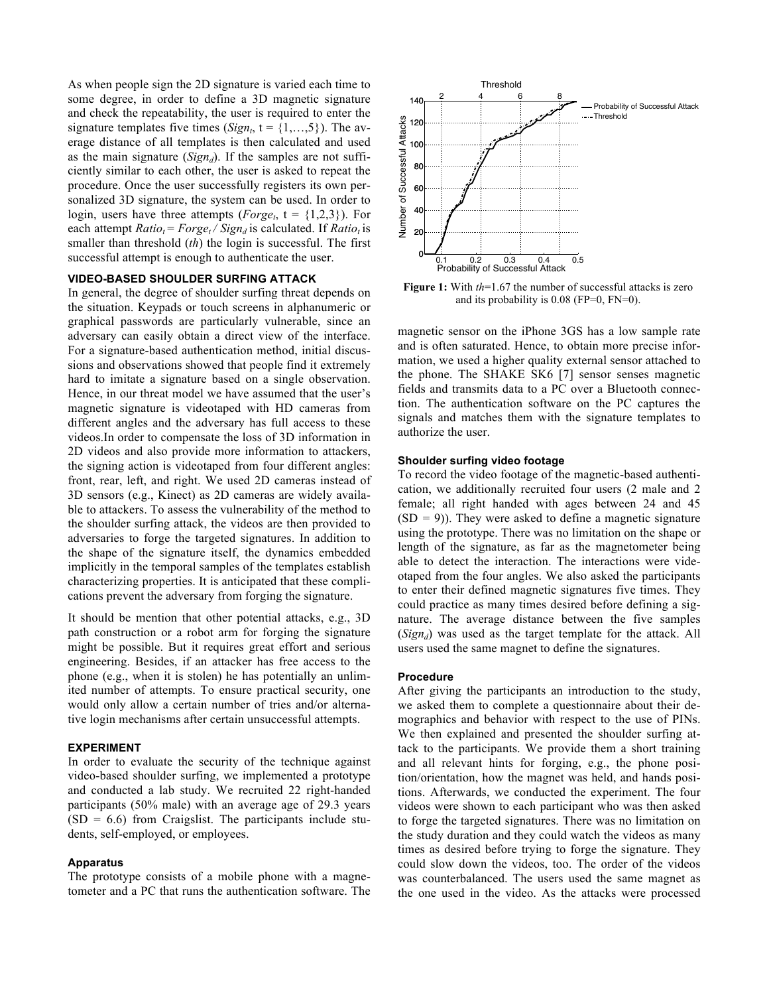As when people sign the 2D signature is varied each time to some degree, in order to define a 3D magnetic signature and check the repeatability, the user is required to enter the signature templates five times  $(Sign_t, t = \{1,...,5\})$ . The average distance of all templates is then calculated and used as the main signature  $(Sign_d)$ . If the samples are not sufficiently similar to each other, the user is asked to repeat the procedure. Once the user successfully registers its own personalized 3D signature, the system can be used. In order to login, users have three attempts (*Forge<sub>t*</sub>,  $t = \{1,2,3\}$ ). For each attempt  $Ratio_t = Forge_t / Sign_d$  is calculated. If  $Ratio_t$  is smaller than threshold (*th*) the login is successful. The first successful attempt is enough to authenticate the user.

## **VIDEO-BASED SHOULDER SURFING ATTACK**

In general, the degree of shoulder surfing threat depends on the situation. Keypads or touch screens in alphanumeric or graphical passwords are particularly vulnerable, since an adversary can easily obtain a direct view of the interface. For a signature-based authentication method, initial discussions and observations showed that people find it extremely hard to imitate a signature based on a single observation. Hence, in our threat model we have assumed that the user's magnetic signature is videotaped with HD cameras from different angles and the adversary has full access to these videos.In order to compensate the loss of 3D information in 2D videos and also provide more information to attackers, the signing action is videotaped from four different angles: front, rear, left, and right. We used 2D cameras instead of 3D sensors (e.g., Kinect) as 2D cameras are widely available to attackers. To assess the vulnerability of the method to the shoulder surfing attack, the videos are then provided to adversaries to forge the targeted signatures. In addition to the shape of the signature itself, the dynamics embedded implicitly in the temporal samples of the templates establish characterizing properties. It is anticipated that these complications prevent the adversary from forging the signature.

It should be mention that other potential attacks, e.g., 3D path construction or a robot arm for forging the signature might be possible. But it requires great effort and serious engineering. Besides, if an attacker has free access to the phone (e.g., when it is stolen) he has potentially an unlimited number of attempts. To ensure practical security, one would only allow a certain number of tries and/or alternative login mechanisms after certain unsuccessful attempts.

## **EXPERIMENT**

In order to evaluate the security of the technique against video-based shoulder surfing, we implemented a prototype and conducted a lab study. We recruited 22 right-handed participants (50% male) with an average age of 29.3 years  $(SD = 6.6)$  from Craigslist. The participants include students, self-employed, or employees.

## **Apparatus**

The prototype consists of a mobile phone with a magnetometer and a PC that runs the authentication software. The



**Figure 1:** With *th*=1.67 the number of successful attacks is zero and its probability is 0.08 (FP=0, FN=0).

magnetic sensor on the iPhone 3GS has a low sample rate and is often saturated. Hence, to obtain more precise information, we used a higher quality external sensor attached to the phone. The SHAKE SK6 [7] sensor senses magnetic fields and transmits data to a PC over a Bluetooth connection. The authentication software on the PC captures the signals and matches them with the signature templates to authorize the user.

#### **Shoulder surfing video footage**

To record the video footage of the magnetic-based authentication, we additionally recruited four users (2 male and 2 female; all right handed with ages between 24 and 45 (SD *=* 9)). They were asked to define a magnetic signature using the prototype. There was no limitation on the shape or length of the signature, as far as the magnetometer being able to detect the interaction. The interactions were videotaped from the four angles. We also asked the participants to enter their defined magnetic signatures five times. They could practice as many times desired before defining a signature. The average distance between the five samples (*Signd*) was used as the target template for the attack. All users used the same magnet to define the signatures.

#### **Procedure**

After giving the participants an introduction to the study, we asked them to complete a questionnaire about their demographics and behavior with respect to the use of PINs. We then explained and presented the shoulder surfing attack to the participants. We provide them a short training and all relevant hints for forging, e.g., the phone position/orientation, how the magnet was held, and hands positions. Afterwards, we conducted the experiment. The four videos were shown to each participant who was then asked to forge the targeted signatures. There was no limitation on the study duration and they could watch the videos as many times as desired before trying to forge the signature. They could slow down the videos, too. The order of the videos was counterbalanced. The users used the same magnet as the one used in the video. As the attacks were processed